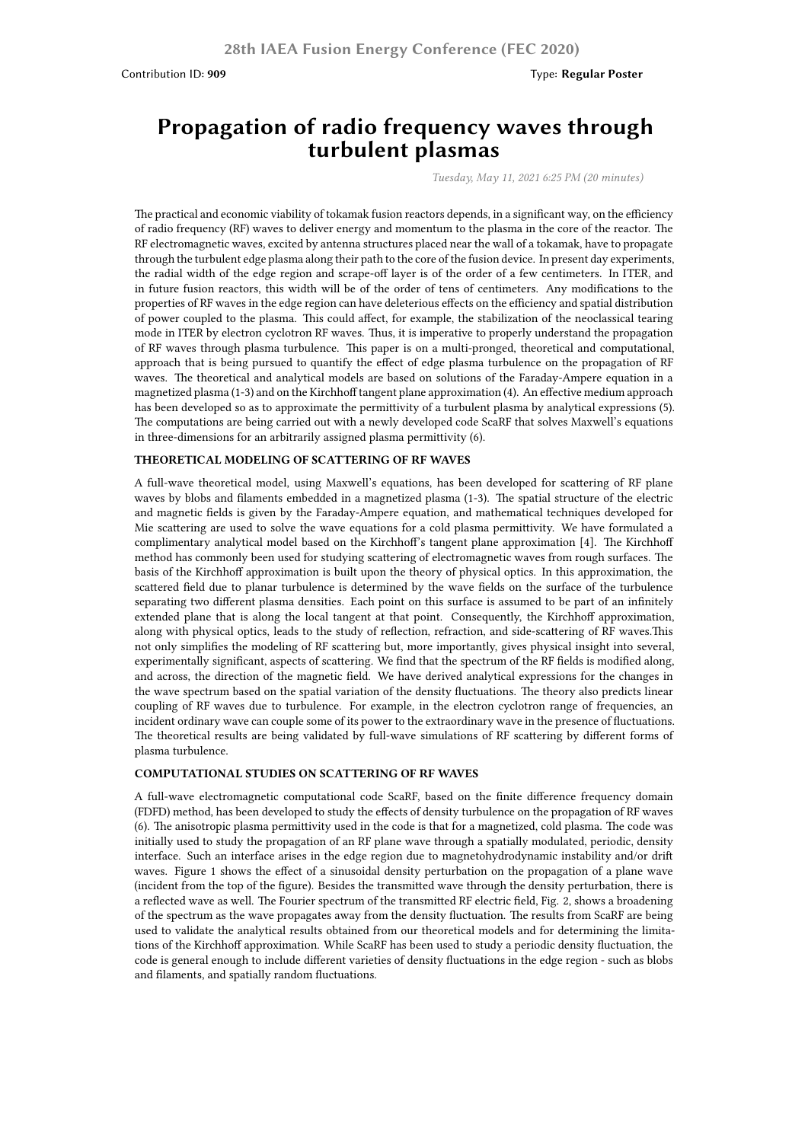# **Propagation of radio frequency waves through turbulent plasmas**

*Tuesday, May 11, 2021 6:25 PM (20 minutes)*

The practical and economic viability of tokamak fusion reactors depends, in a significant way, on the efficiency of radio frequency (RF) waves to deliver energy and momentum to the plasma in the core of the reactor. The RF electromagnetic waves, excited by antenna structures placed near the wall of a tokamak, have to propagate through the turbulent edge plasma along their path to the core of the fusion device. In present day experiments, the radial width of the edge region and scrape-off layer is of the order of a few centimeters. In ITER, and in future fusion reactors, this width will be of the order of tens of centimeters. Any modifications to the properties of RF waves in the edge region can have deleterious effects on the efficiency and spatial distribution of power coupled to the plasma. This could affect, for example, the stabilization of the neoclassical tearing mode in ITER by electron cyclotron RF waves. Thus, it is imperative to properly understand the propagation of RF waves through plasma turbulence. This paper is on a multi-pronged, theoretical and computational, approach that is being pursued to quantify the effect of edge plasma turbulence on the propagation of RF waves. The theoretical and analytical models are based on solutions of the Faraday-Ampere equation in a magnetized plasma (1-3) and on the Kirchhoff tangent plane approximation (4). An effective medium approach has been developed so as to approximate the permittivity of a turbulent plasma by analytical expressions (5). The computations are being carried out with a newly developed code ScaRF that solves Maxwell's equations in three-dimensions for an arbitrarily assigned plasma permittivity (6).

#### **THEORETICAL MODELING OF SCATTERING OF RF WAVES**

A full-wave theoretical model, using Maxwell's equations, has been developed for scattering of RF plane waves by blobs and filaments embedded in a magnetized plasma (1-3). The spatial structure of the electric and magnetic fields is given by the Faraday-Ampere equation, and mathematical techniques developed for Mie scattering are used to solve the wave equations for a cold plasma permittivity. We have formulated a complimentary analytical model based on the Kirchhof's tangent plane approximation [4]. The Kirchhoff method has commonly been used for studying scattering of electromagnetic waves from rough surfaces. The basis of the Kirchhoff approximation is built upon the theory of physical optics. In this approximation, the scattered field due to planar turbulence is determined by the wave fields on the surface of the turbulence separating two different plasma densities. Each point on this surface is assumed to be part of an infinitely extended plane that is along the local tangent at that point. Consequently, the Kirchhoff approximation, along with physical optics, leads to the study of reflection, refraction, and side-scattering of RF waves.This not only simplifies the modeling of RF scattering but, more importantly, gives physical insight into several, experimentally significant, aspects of scattering. We find that the spectrum of the RF fields is modified along, and across, the direction of the magnetic field. We have derived analytical expressions for the changes in the wave spectrum based on the spatial variation of the density fluctuations. The theory also predicts linear coupling of RF waves due to turbulence. For example, in the electron cyclotron range of frequencies, an incident ordinary wave can couple some of its power to the extraordinary wave in the presence of fluctuations. The theoretical results are being validated by full-wave simulations of RF scattering by different forms of plasma turbulence.

#### **COMPUTATIONAL STUDIES ON SCATTERING OF RF WAVES**

A full-wave electromagnetic computational code ScaRF, based on the finite difference frequency domain (FDFD) method, has been developed to study the effects of density turbulence on the propagation of RF waves (6). The anisotropic plasma permittivity used in the code is that for a magnetized, cold plasma. The code was initially used to study the propagation of an RF plane wave through a spatially modulated, periodic, density interface. Such an interface arises in the edge region due to magnetohydrodynamic instability and/or drift waves. Figure 1 shows the effect of a sinusoidal density perturbation on the propagation of a plane wave (incident from the top of the figure). Besides the transmitted wave through the density perturbation, there is a reflected wave as well. The Fourier spectrum of the transmitted RF electric field, Fig. 2, shows a broadening of the spectrum as the wave propagates away from the density fluctuation. The results from ScaRF are being used to validate the analytical results obtained from our theoretical models and for determining the limitations of the Kirchhoff approximation. While ScaRF has been used to study a periodic density fluctuation, the code is general enough to include different varieties of density fluctuations in the edge region - such as blobs and filaments, and spatially random fluctuations.